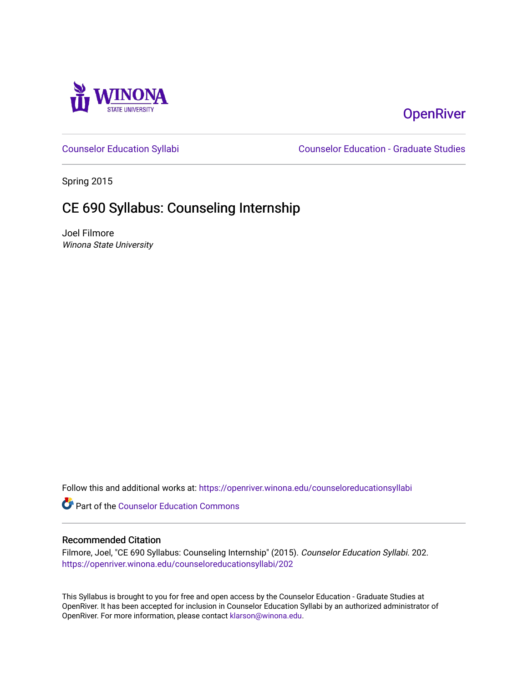

# **OpenRiver**

[Counselor Education Syllabi](https://openriver.winona.edu/counseloreducationsyllabi) [Counselor Education - Graduate Studies](https://openriver.winona.edu/counseloreducation) 

Spring 2015

# CE 690 Syllabus: Counseling Internship

Joel Filmore Winona State University

Follow this and additional works at: [https://openriver.winona.edu/counseloreducationsyllabi](https://openriver.winona.edu/counseloreducationsyllabi?utm_source=openriver.winona.edu%2Fcounseloreducationsyllabi%2F202&utm_medium=PDF&utm_campaign=PDFCoverPages)

Part of the [Counselor Education Commons](http://network.bepress.com/hgg/discipline/1278?utm_source=openriver.winona.edu%2Fcounseloreducationsyllabi%2F202&utm_medium=PDF&utm_campaign=PDFCoverPages) 

#### Recommended Citation

Filmore, Joel, "CE 690 Syllabus: Counseling Internship" (2015). Counselor Education Syllabi. 202. [https://openriver.winona.edu/counseloreducationsyllabi/202](https://openriver.winona.edu/counseloreducationsyllabi/202?utm_source=openriver.winona.edu%2Fcounseloreducationsyllabi%2F202&utm_medium=PDF&utm_campaign=PDFCoverPages)

This Syllabus is brought to you for free and open access by the Counselor Education - Graduate Studies at OpenRiver. It has been accepted for inclusion in Counselor Education Syllabi by an authorized administrator of OpenRiver. For more information, please contact [klarson@winona.edu](mailto:klarson@winona.edu).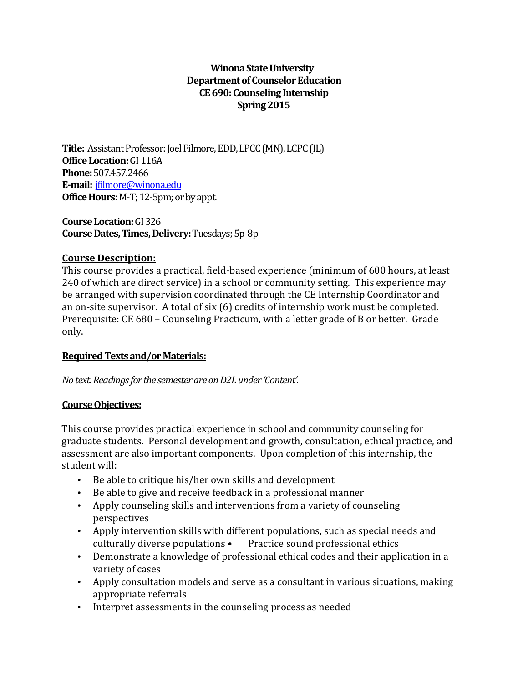#### **Winona State University Department of Counselor Education CE690: Counseling Internship Spring 2015**

**Title:** Assistant Professor: Joel Filmore, EDD, LPCC (MN), LCPC (IL) **Office Location:**GI 116A **Phone:**507.457.2466 **E-mail:** [jfilmore@winona.edu](mailto:jfilmore@winona.edu) **Office Hours:** M-T; 12-5pm; or by appt.

**Course Location:**GI 326 **Course Dates, Times, Delivery:**Tuesdays; 5p-8p

#### **Course Description:**

This course provides a practical, field-based experience (minimum of 600 hours, at least 240 of which are direct service) in a school or community setting. This experience may be arranged with supervision coordinated through the CE Internship Coordinator and an on-site supervisor. A total of six (6) credits of internship work must be completed. Prerequisite: CE 680 – Counseling Practicum, with a letter grade of B or better. Grade only.

#### **Required Texts and/or Materials:**

*No text. Readings for the semester are on D2L under 'Content'.*

#### **Course Objectives:**

This course provides practical experience in school and community counseling for graduate students. Personal development and growth, consultation, ethical practice, and assessment are also important components. Upon completion of this internship, the student will:

- Be able to critique his/her own skills and development
- Be able to give and receive feedback in a professional manner
- Apply counseling skills and interventions from a variety of counseling perspectives
- Apply intervention skills with different populations, such as special needs and culturally diverse populations Practice sound professional ethics Practice sound professional ethics
- Demonstrate a knowledge of professional ethical codes and their application in a variety of cases
- Apply consultation models and serve as a consultant in various situations, making appropriate referrals
- Interpret assessments in the counseling process as needed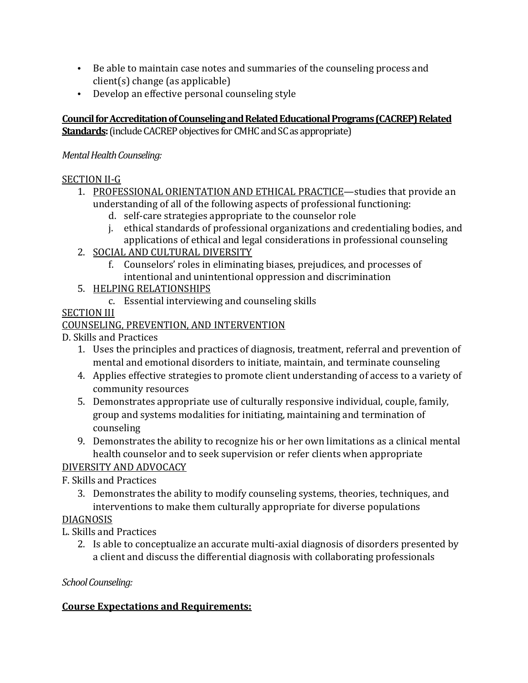- Be able to maintain case notes and summaries of the counseling process and client(s) change (as applicable)
- Develop an effective personal counseling style

**Council for Accreditation of Counseling and Related Educational Programs (CACREP) Related Standards:**(include CACREP objectives for CMHC and SC as appropriate)

### *Mental Health Counseling:*

### SECTION II-G

- 1. PROFESSIONAL ORIENTATION AND ETHICAL PRACTICE—studies that provide an understanding of all of the following aspects of professional functioning:
	- d. self-care strategies appropriate to the counselor role
	- j. ethical standards of professional organizations and credentialing bodies, and applications of ethical and legal considerations in professional counseling
- 2. SOCIAL AND CULTURAL DIVERSITY
	- f. Counselors' roles in eliminating biases, prejudices, and processes of intentional and unintentional oppression and discrimination
- 5. HELPING RELATIONSHIPS
	- c. Essential interviewing and counseling skills

## SECTION III

## COUNSELING, PREVENTION, AND INTERVENTION

D. Skills and Practices

- 1. Uses the principles and practices of diagnosis, treatment, referral and prevention of mental and emotional disorders to initiate, maintain, and terminate counseling
- 4. Applies effective strategies to promote client understanding of access to a variety of community resources
- 5. Demonstrates appropriate use of culturally responsive individual, couple, family, group and systems modalities for initiating, maintaining and termination of counseling
- 9. Demonstrates the ability to recognize his or her own limitations as a clinical mental health counselor and to seek supervision or refer clients when appropriate

## DIVERSITY AND ADVOCACY

## F. Skills and Practices

3. Demonstrates the ability to modify counseling systems, theories, techniques, and interventions to make them culturally appropriate for diverse populations

## DIAGNOSIS

L. Skills and Practices

2. Is able to conceptualize an accurate multi-axial diagnosis of disorders presented by a client and discuss the differential diagnosis with collaborating professionals

## *School Counseling:*

## **Course Expectations and Requirements:**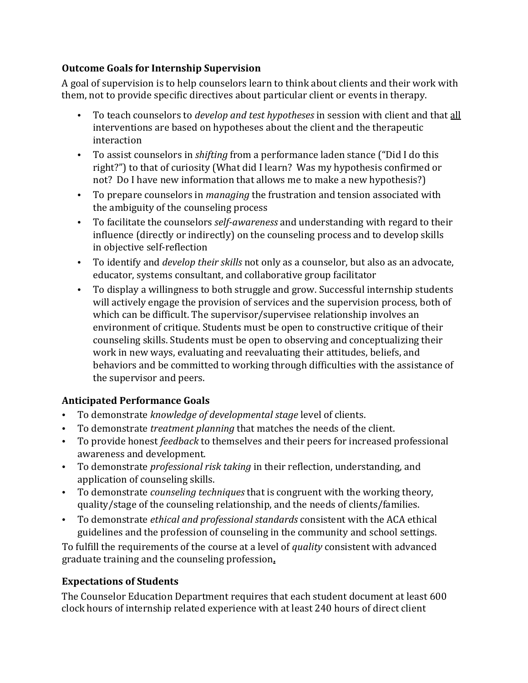#### **Outcome Goals for Internship Supervision**

A goal of supervision is to help counselors learn to think about clients and their work with them, not to provide specific directives about particular client or events in therapy.

- To teach counselors to *develop and test hypotheses* in session with client and that all interventions are based on hypotheses about the client and the therapeutic interaction
- To assist counselors in *shifting* from a performance laden stance ("Did I do this right?") to that of curiosity (What did I learn? Was my hypothesis confirmed or not? Do I have new information that allows me to make a new hypothesis?)
- To prepare counselors in *managing* the frustration and tension associated with the ambiguity of the counseling process
- To facilitate the counselors *self-awareness* and understanding with regard to their influence (directly or indirectly) on the counseling process and to develop skills in objective self-reflection
- To identify and *develop their skills* not only as a counselor, but also as an advocate, educator, systems consultant, and collaborative group facilitator
- To display a willingness to both struggle and grow. Successful internship students will actively engage the provision of services and the supervision process, both of which can be difficult. The supervisor/supervisee relationship involves an environment of critique. Students must be open to constructive critique of their counseling skills. Students must be open to observing and conceptualizing their work in new ways, evaluating and reevaluating their attitudes, beliefs, and behaviors and be committed to working through difficulties with the assistance of the supervisor and peers.

## **Anticipated Performance Goals**

- To demonstrate *knowledge of developmental stage* level of clients.
- To demonstrate *treatment planning* that matches the needs of the client.
- To provide honest *feedback* to themselves and their peers for increased professional awareness and development.
- To demonstrate *professional risk taking* in their reflection, understanding, and application of counseling skills.
- To demonstrate *counseling techniques* that is congruent with the working theory, quality/stage of the counseling relationship, and the needs of clients/families.
- To demonstrate *ethical and professional standards* consistent with the ACA ethical guidelines and the profession of counseling in the community and school settings.

To fulfill the requirements of the course at a level of *quality* consistent with advanced graduate training and the counseling profession**.**

#### **Expectations of Students**

The Counselor Education Department requires that each student document at least 600 clock hours of internship related experience with at least 240 hours of direct client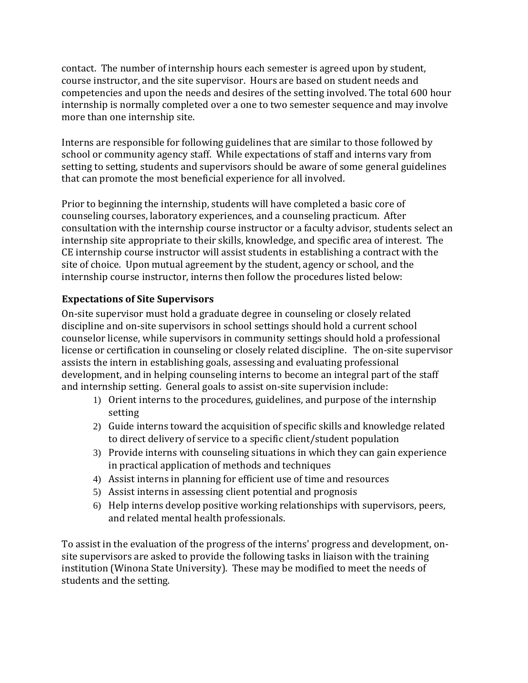contact. The number of internship hours each semester is agreed upon by student, course instructor, and the site supervisor. Hours are based on student needs and competencies and upon the needs and desires of the setting involved. The total 600 hour internship is normally completed over a one to two semester sequence and may involve more than one internship site.

Interns are responsible for following guidelines that are similar to those followed by school or community agency staff. While expectations of staff and interns vary from setting to setting, students and supervisors should be aware of some general guidelines that can promote the most beneficial experience for all involved.

Prior to beginning the internship, students will have completed a basic core of counseling courses, laboratory experiences, and a counseling practicum. After consultation with the internship course instructor or a faculty advisor, students select an internship site appropriate to their skills, knowledge, and specific area of interest. The CE internship course instructor will assist students in establishing a contract with the site of choice. Upon mutual agreement by the student, agency or school, and the internship course instructor, interns then follow the procedures listed below:

#### **Expectations of Site Supervisors**

On-site supervisor must hold a graduate degree in counseling or closely related discipline and on-site supervisors in school settings should hold a current school counselor license, while supervisors in community settings should hold a professional license or certification in counseling or closely related discipline. The on-site supervisor assists the intern in establishing goals, assessing and evaluating professional development, and in helping counseling interns to become an integral part of the staff and internship setting. General goals to assist on-site supervision include:

- 1) Orient interns to the procedures, guidelines, and purpose of the internship setting
- 2) Guide interns toward the acquisition of specific skills and knowledge related to direct delivery of service to a specific client/student population
- 3) Provide interns with counseling situations in which they can gain experience in practical application of methods and techniques
- 4) Assist interns in planning for efficient use of time and resources
- 5) Assist interns in assessing client potential and prognosis
- 6) Help interns develop positive working relationships with supervisors, peers, and related mental health professionals.

To assist in the evaluation of the progress of the interns' progress and development, onsite supervisors are asked to provide the following tasks in liaison with the training institution (Winona State University). These may be modified to meet the needs of students and the setting.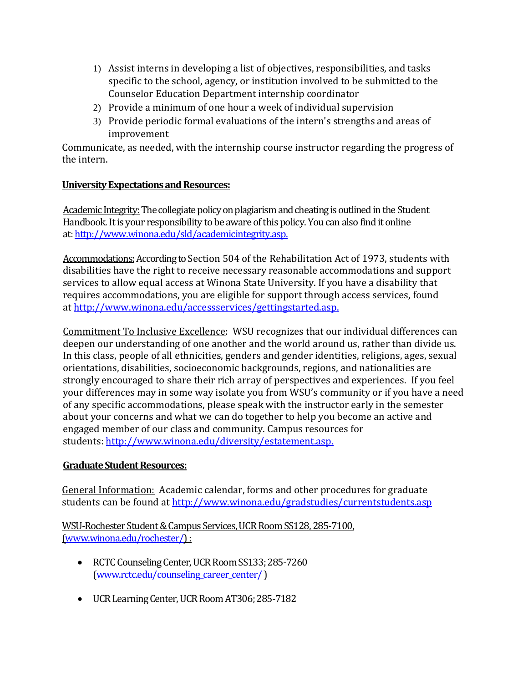- 1) Assist interns in developing a list of objectives, responsibilities, and tasks specific to the school, agency, or institution involved to be submitted to the Counselor Education Department internship coordinator
- 2) Provide a minimum of one hour a week of individual supervision
- 3) Provide periodic formal evaluations of the intern's strengths and areas of improvement

Communicate, as needed, with the internship course instructor regarding the progress of the intern.

#### **University Expectations and Resources:**

Academic Integrity: The collegiate policy on plagiarism and cheating is outlined in the Student Handbook. It is your responsibility to be aware of this policy. You can also find it online at[: http://www.winona.edu/sld/academicintegrity.asp.](http://www.winona.edu/sld/academicintegrity.asp)

Accommodations: According to Section 504 of the Rehabilitation Act of 1973, students with disabilities have the right to receive necessary reasonable accommodations and support services to allow equal access at Winona State University. If you have a disability that requires accommodations, you are eligible for support through access services, found at [http://www.winona.edu/accessservices/gettingstarted.asp.](http://www.winona.edu/accessservices/gettingstarted.asp)

Commitment To Inclusive Excellence: WSU recognizes that our individual differences can deepen our understanding of one another and the world around us, rather than divide us. In this class, people of all ethnicities, genders and gender identities, religions, ages, sexual orientations, disabilities, socioeconomic backgrounds, regions, and nationalities are strongly encouraged to share their rich array of perspectives and experiences. If you feel your differences may in some way isolate you from WSU's community or if you have a need of any specific accommodations, please speak with the instructor early in the semester about your concerns and what we can do together to help you become an active and engaged member of our class and community. Campus resources for students: [http://www.winona.edu/diversity/estatement.asp.](http://www.winona.edu/diversity/estatement.asp)

#### **Graduate Student Resources:**

General Information: Academic calendar, forms and other procedures for graduate students can be found a[t http://www.winona.edu/gradstudies/currentstudents.asp](http://www.winona.edu/gradstudies/currentstudents.asp)

WSU-Rochester Student & Campus Services, UCR Room SS128, 285-7100, [\(www.winona.edu/rochester/\)](http://www.winona.edu/rochester/) :

- RCTC Counseling Center, UCR Room SS133; 285-7260 [\(www.rctc.edu/counseling\\_career\\_center/](http://www.rctc.edu/counseling_career_center/) )
- UCR Learning Center, UCR Room AT306; 285-7182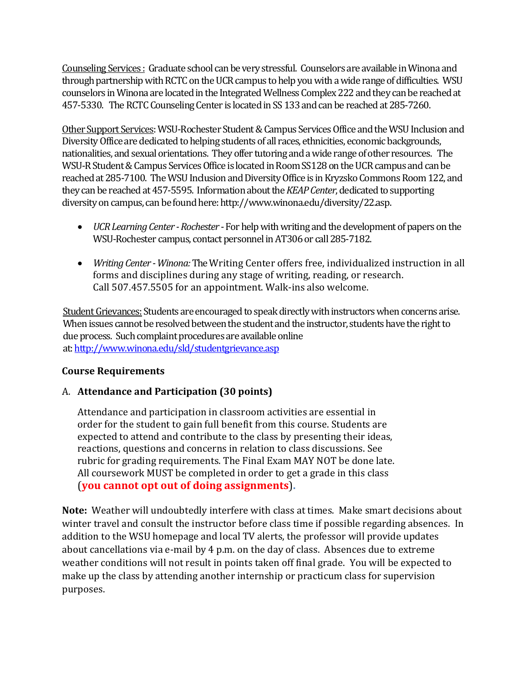Counseling Services : Graduate school can be very stressful. Counselors are available in Winona and through partnership with RCTC on the UCR campus to help you with a wide range of difficulties. WSU counselors in Winona are located in the Integrated Wellness Complex 222 and they can be reached at 457-5330. The RCTC Counseling Center is located in SS 133 and can be reached at 285-7260.

Other Support Services: WSU-Rochester Student & Campus Services Office and the WSU Inclusion and Diversity Office are dedicated to helping students of all races, ethnicities, economic backgrounds, nationalities, and sexual orientations. They offer tutoring and a wide range of other resources. The WSU-R Student & Campus Services Office is located in Room SS128 on the UCR campus and can be reached at 285-7100. The WSU Inclusion and Diversity Office is in Kryzsko Commons Room 122, and they can be reached at 457-5595. Information about the *KEAP Center*, dedicated to supporting diversity on campus, can be found here: http://www.winona.edu/diversity/22.asp.

- *UCR Learning Center Rochester* For help with writing and the development of papers on the WSU-Rochester campus, contact personnel in AT306 or call 285-7182.
- *Writing Center -Winona:*The Writing Center offers free, individualized instruction in all forms and disciplines during any stage of writing, reading, or research. Call 507.457.5505 for an appointment. Walk-ins also welcome.

Student Grievances: Students are encouraged to speak directly with instructors when concerns arise. When issues cannot be resolved between the student and the instructor, students have the right to due process. Such complaint procedures are available online at[: http://www.winona.edu/sld/studentgrievance.asp](http://www.winona.edu/sld/studentgrievance.asp)

#### **Course Requirements**

#### A. **Attendance and Participation (30 points)**

Attendance and participation in classroom activities are essential in order for the student to gain full benefit from this course. Students are expected to attend and contribute to the class by presenting their ideas, reactions, questions and concerns in relation to class discussions. See rubric for grading requirements. The Final Exam MAY NOT be done late. All coursework MUST be completed in order to get a grade in this class (**you cannot opt out of doing assignments**)**.**

**Note:** Weather will undoubtedly interfere with class at times. Make smart decisions about winter travel and consult the instructor before class time if possible regarding absences. In addition to the WSU homepage and local TV alerts, the professor will provide updates about cancellations via e-mail by 4 p.m. on the day of class. Absences due to extreme weather conditions will not result in points taken off final grade. You will be expected to make up the class by attending another internship or practicum class for supervision purposes.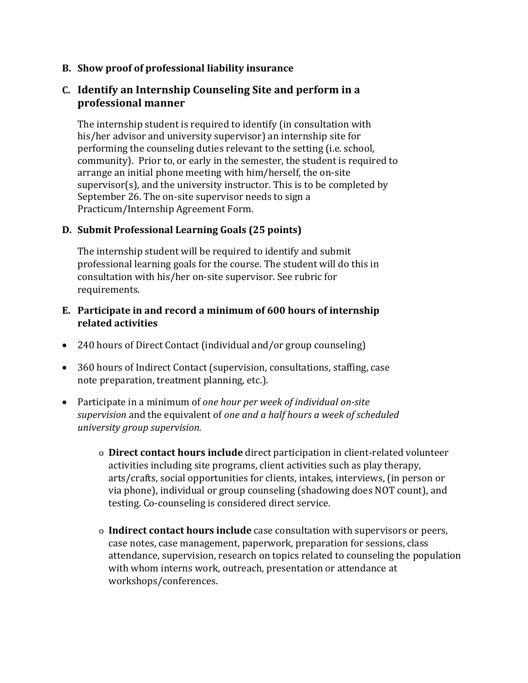**B. Show proof of professional liability insurance** 

### **C. Identify an Internship Counseling Site and perform in a professional manner**

The internship student is required to identify (in consultation with his/her advisor and university supervisor) an internship site for performing the counseling duties relevant to the setting (i.e. school, community). Prior to, or early in the semester, the student is required to arrange an initial phone meeting with him/herself, the on-site supervisor(s), and the university instructor. This is to be completed by September 26. The on-site supervisor needs to sign a Practicum/Internship Agreement Form.

#### **D. Submit Professional Learning Goals (25 points)**

The internship student will be required to identify and submit professional learning goals for the course. The student will do this in consultation with his/her on-site supervisor. See rubric for requirements.

#### **E. Participate in and record a minimum of 600 hours of internship related activities**

- 240 hours of Direct Contact (individual and/or group counseling)
- 360 hours of Indirect Contact (supervision, consultations, staffing, case note preparation, treatment planning, etc.).
- Participate in a minimum of *one hour per week of individual on-site supervision* and the equivalent of *one and a half hours a week of scheduled university group supervision.*
	- o **Direct contact hours include** direct participation in client-related volunteer activities including site programs, client activities such as play therapy, arts/crafts, social opportunities for clients, intakes, interviews, (in person or via phone), individual or group counseling (shadowing does NOT count), and testing. Co-counseling is considered direct service.
	- o **Indirect contact hours include** case consultation with supervisors or peers, case notes, case management, paperwork, preparation for sessions, class attendance, supervision, research on topics related to counseling the population with whom interns work, outreach, presentation or attendance at workshops/conferences.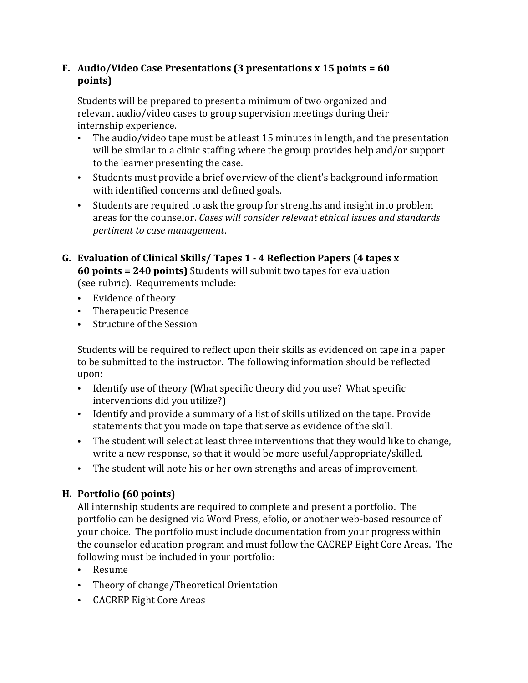### **F. Audio/Video Case Presentations (3 presentations x 15 points = 60 points)**

Students will be prepared to present a minimum of two organized and relevant audio/video cases to group supervision meetings during their internship experience.

- The audio/video tape must be at least 15 minutes in length, and the presentation will be similar to a clinic staffing where the group provides help and/or support to the learner presenting the case.
- Students must provide a brief overview of the client's background information with identified concerns and defined goals.
- Students are required to ask the group for strengths and insight into problem areas for the counselor. *Cases will consider relevant ethical issues and standards pertinent to case management*.
- **G. Evaluation of Clinical Skills/ Tapes 1 - 4 Reflection Papers (4 tapes x 60 points = 240 points)** Students will submit two tapes for evaluation (see rubric). Requirements include:
	- Evidence of theory
	- Therapeutic Presence
	- Structure of the Session

Students will be required to reflect upon their skills as evidenced on tape in a paper to be submitted to the instructor. The following information should be reflected upon:

- Identify use of theory (What specific theory did you use? What specific interventions did you utilize?)
- Identify and provide a summary of a list of skills utilized on the tape. Provide statements that you made on tape that serve as evidence of the skill.
- The student will select at least three interventions that they would like to change, write a new response, so that it would be more useful/appropriate/skilled.
- The student will note his or her own strengths and areas of improvement.

## **H. Portfolio (60 points)**

All internship students are required to complete and present a portfolio. The portfolio can be designed via Word Press, efolio, or another web-based resource of your choice. The portfolio must include documentation from your progress within the counselor education program and must follow the CACREP Eight Core Areas. The following must be included in your portfolio:

- Resume
- Theory of change/Theoretical Orientation
- CACREP Eight Core Areas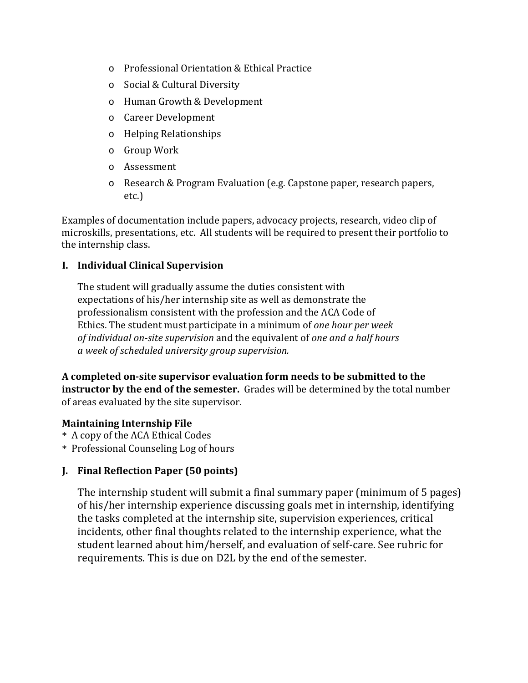- o Professional Orientation & Ethical Practice
- o Social & Cultural Diversity
- o Human Growth & Development
- o Career Development
- o Helping Relationships
- o Group Work
- o Assessment
- o Research & Program Evaluation (e.g. Capstone paper, research papers, etc.)

Examples of documentation include papers, advocacy projects, research, video clip of microskills, presentations, etc. All students will be required to present their portfolio to the internship class.

#### **I. Individual Clinical Supervision**

The student will gradually assume the duties consistent with expectations of his/her internship site as well as demonstrate the professionalism consistent with the profession and the ACA Code of Ethics. The student must participate in a minimum of *one hour per week of individual on-site supervision* and the equivalent of *one and a half hours a week of scheduled university group supervision.* 

**A completed on-site supervisor evaluation form needs to be submitted to the instructor by the end of the semester.** Grades will be determined by the total number of areas evaluated by the site supervisor.

#### **Maintaining Internship File**

- \* A copy of the ACA Ethical Codes
- \* Professional Counseling Log of hours

#### **J. Final Reflection Paper (50 points)**

The internship student will submit a final summary paper (minimum of 5 pages) of his/her internship experience discussing goals met in internship, identifying the tasks completed at the internship site, supervision experiences, critical incidents, other final thoughts related to the internship experience, what the student learned about him/herself, and evaluation of self-care. See rubric for requirements. This is due on D2L by the end of the semester.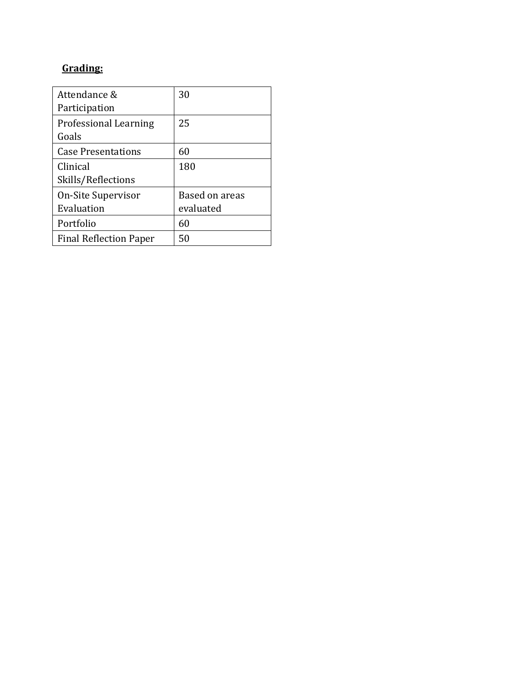# **Grading:**

| Attendance &<br>Participation         | 30             |
|---------------------------------------|----------------|
| <b>Professional Learning</b><br>Goals | 25             |
| <b>Case Presentations</b>             | 60             |
| Clinical                              | 180            |
| Skills/Reflections                    |                |
| On-Site Supervisor                    | Based on areas |
| Evaluation                            | evaluated      |
| Portfolio                             | 60             |
| <b>Final Reflection Paper</b>         | 50             |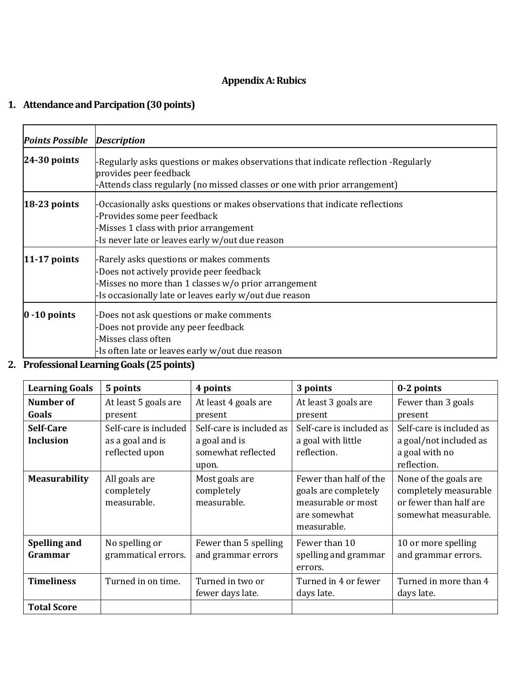## **Appendix A: Rubics**

## **1. Attendance and Parcipation (30 points)**

| <b>Points Possible</b> | <b>Description</b>                                                                                                                                                                                        |
|------------------------|-----------------------------------------------------------------------------------------------------------------------------------------------------------------------------------------------------------|
| $24-30$ points         | -Regularly asks questions or makes observations that indicate reflection -Regularly<br>provides peer feedback<br>-Attends class regularly (no missed classes or one with prior arrangement)               |
| $18-23$ points         | -Occasionally asks questions or makes observations that indicate reflections<br>-Provides some peer feedback<br>-Misses 1 class with prior arrangement<br>-Is never late or leaves early w/out due reason |
| $11-17$ points         | -Rarely asks questions or makes comments<br>-Does not actively provide peer feedback<br>-Misses no more than 1 classes w/o prior arrangement<br>-Is occasionally late or leaves early w/out due reason    |
| $0 - 10$ points        | -Does not ask questions or make comments<br>-Does not provide any peer feedback<br>-Misses class often<br>-Is often late or leaves early w/out due reason                                                 |

**2. Professional Learning Goals (25 points)**

| <b>Learning Goals</b>          | 5 points                                                    | 4 points                                                                 | 3 points                                                                                            | 0-2 points                                                                                       |
|--------------------------------|-------------------------------------------------------------|--------------------------------------------------------------------------|-----------------------------------------------------------------------------------------------------|--------------------------------------------------------------------------------------------------|
| Number of<br>Goals             | At least 5 goals are<br>present                             | At least 4 goals are<br>present                                          | At least 3 goals are<br>present                                                                     | Fewer than 3 goals<br>present                                                                    |
| Self-Care<br><b>Inclusion</b>  | Self-care is included<br>as a goal and is<br>reflected upon | Self-care is included as<br>a goal and is<br>somewhat reflected<br>upon. | Self-care is included as<br>a goal with little<br>reflection.                                       | Self-care is included as<br>a goal/not included as<br>a goal with no<br>reflection.              |
| <b>Measurability</b>           | All goals are<br>completely<br>measurable.                  | Most goals are<br>completely<br>measurable.                              | Fewer than half of the<br>goals are completely<br>measurable or most<br>are somewhat<br>measurable. | None of the goals are<br>completely measurable<br>or fewer than half are<br>somewhat measurable. |
| <b>Spelling and</b><br>Grammar | No spelling or<br>grammatical errors.                       | Fewer than 5 spelling<br>and grammar errors                              | Fewer than 10<br>spelling and grammar<br>errors.                                                    | 10 or more spelling<br>and grammar errors.                                                       |
| <b>Timeliness</b>              | Turned in on time.                                          | Turned in two or<br>fewer days late.                                     | Turned in 4 or fewer<br>days late.                                                                  | Turned in more than 4<br>days late.                                                              |
| <b>Total Score</b>             |                                                             |                                                                          |                                                                                                     |                                                                                                  |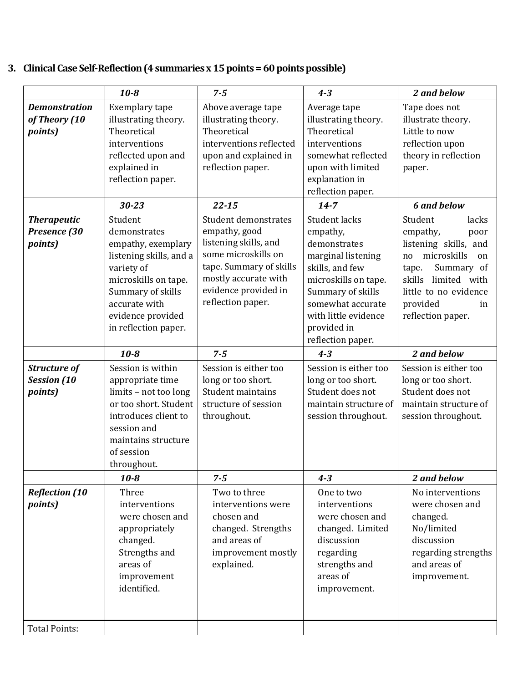# **3. Clinical Case Self-Reflection (4 summaries x 15 points = 60 points possible)**

|                                                      | $10 - 8$                                                                                                                                                                           | $7 - 5$                                                                                                                    | $4 - 3$                                                                                                                                       | 2 and below                                                                                                                        |
|------------------------------------------------------|------------------------------------------------------------------------------------------------------------------------------------------------------------------------------------|----------------------------------------------------------------------------------------------------------------------------|-----------------------------------------------------------------------------------------------------------------------------------------------|------------------------------------------------------------------------------------------------------------------------------------|
| <b>Demonstration</b><br>of Theory (10<br>points)     | Exemplary tape<br>illustrating theory.<br>Theoretical<br>interventions                                                                                                             | Above average tape<br>illustrating theory.<br>Theoretical<br>interventions reflected                                       | Average tape<br>illustrating theory.<br>Theoretical<br>interventions                                                                          | Tape does not<br>illustrate theory.<br>Little to now<br>reflection upon                                                            |
|                                                      | reflected upon and<br>explained in<br>reflection paper.                                                                                                                            | upon and explained in<br>reflection paper.                                                                                 | somewhat reflected<br>upon with limited<br>explanation in<br>reflection paper.                                                                | theory in reflection<br>paper.                                                                                                     |
|                                                      | $30 - 23$                                                                                                                                                                          | $22 - 15$                                                                                                                  | $14 - 7$                                                                                                                                      | <b>6 and below</b>                                                                                                                 |
| <b>Therapeutic</b><br>Presence (30<br>points)        | Student<br>demonstrates<br>empathy, exemplary<br>listening skills, and a                                                                                                           | Student demonstrates<br>empathy, good<br>listening skills, and<br>some microskills on                                      | Student lacks<br>empathy,<br>demonstrates<br>marginal listening                                                                               | Student<br>lacks<br>empathy,<br>poor<br>listening skills, and<br>microskills<br>no<br>on                                           |
|                                                      | variety of<br>microskills on tape.<br>Summary of skills<br>accurate with<br>evidence provided<br>in reflection paper.                                                              | tape. Summary of skills<br>mostly accurate with<br>evidence provided in<br>reflection paper.                               | skills, and few<br>microskills on tape.<br>Summary of skills<br>somewhat accurate<br>with little evidence<br>provided in<br>reflection paper. | Summary of<br>tape.<br>limited with<br>skills<br>little to no evidence<br>provided<br>in<br>reflection paper.                      |
|                                                      | $10 - 8$                                                                                                                                                                           | $7 - 5$                                                                                                                    | $4 - 3$                                                                                                                                       | 2 and below                                                                                                                        |
| <b>Structure of</b><br><b>Session</b> (10<br>points) | Session is within<br>appropriate time<br>limits - not too long<br>or too short. Student<br>introduces client to<br>session and<br>maintains structure<br>of session<br>throughout. | Session is either too<br>long or too short.<br>Student maintains<br>structure of session<br>throughout.                    | Session is either too<br>long or too short.<br>Student does not<br>maintain structure of<br>session throughout.                               | Session is either too<br>long or too short.<br>Student does not<br>maintain structure of<br>session throughout.                    |
|                                                      | $10 - 8$                                                                                                                                                                           | $7 - 5$                                                                                                                    | $4 - 3$                                                                                                                                       | 2 and below                                                                                                                        |
| <b>Reflection (10</b><br><i>points</i> )             | Three<br>interventions<br>were chosen and<br>appropriately<br>changed.<br>Strengths and<br>areas of<br>improvement<br>identified.                                                  | Two to three<br>interventions were<br>chosen and<br>changed. Strengths<br>and areas of<br>improvement mostly<br>explained. | One to two<br>interventions<br>were chosen and<br>changed. Limited<br>discussion<br>regarding<br>strengths and<br>areas of<br>improvement.    | No interventions<br>were chosen and<br>changed.<br>No/limited<br>discussion<br>regarding strengths<br>and areas of<br>improvement. |
| <b>Total Points:</b>                                 |                                                                                                                                                                                    |                                                                                                                            |                                                                                                                                               |                                                                                                                                    |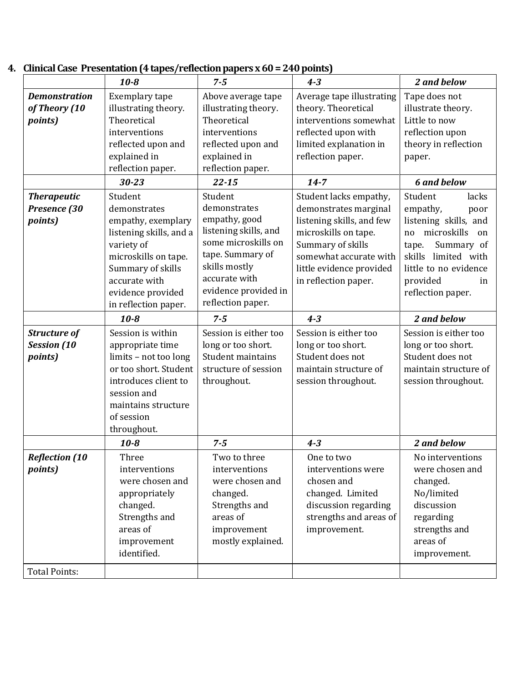|                       | $10 - 8$                | $7 - 5$               | $4 - 3$                   | 2 and below           |
|-----------------------|-------------------------|-----------------------|---------------------------|-----------------------|
| <b>Demonstration</b>  | Exemplary tape          | Above average tape    | Average tape illustrating | Tape does not         |
| of Theory (10         | illustrating theory.    | illustrating theory.  | theory. Theoretical       | illustrate theory.    |
| points)               | Theoretical             | Theoretical           | interventions somewhat    | Little to now         |
|                       | interventions           | interventions         | reflected upon with       | reflection upon       |
|                       | reflected upon and      | reflected upon and    | limited explanation in    | theory in reflection  |
|                       | explained in            | explained in          | reflection paper.         | paper.                |
|                       | reflection paper.       | reflection paper.     |                           |                       |
|                       | $30 - 23$               | $22 - 15$             | $14 - 7$                  | <b>6 and below</b>    |
| <b>Therapeutic</b>    | Student                 | Student               | Student lacks empathy,    | Student<br>lacks      |
| Presence (30          | demonstrates            | demonstrates          | demonstrates marginal     | empathy,<br>poor      |
| <i>points</i> )       | empathy, exemplary      | empathy, good         | listening skills, and few | listening skills, and |
|                       | listening skills, and a | listening skills, and | microskills on tape.      | no microskills<br>on  |
|                       | variety of              | some microskills on   | Summary of skills         | Summary of<br>tape.   |
|                       | microskills on tape.    | tape. Summary of      | somewhat accurate with    | skills limited with   |
|                       | Summary of skills       | skills mostly         | little evidence provided  | little to no evidence |
|                       | accurate with           | accurate with         | in reflection paper.      | provided<br>in        |
|                       | evidence provided       | evidence provided in  |                           | reflection paper.     |
|                       | in reflection paper.    | reflection paper.     |                           |                       |
|                       | $10 - 8$                | $7 - 5$               | $4 - 3$                   | 2 and below           |
| <b>Structure of</b>   | Session is within       | Session is either too | Session is either too     | Session is either too |
| <b>Session</b> (10    | appropriate time        | long or too short.    | long or too short.        | long or too short.    |
| points)               | limits - not too long   | Student maintains     | Student does not          | Student does not      |
|                       | or too short. Student   | structure of session  | maintain structure of     | maintain structure of |
|                       | introduces client to    | throughout.           | session throughout.       | session throughout.   |
|                       | session and             |                       |                           |                       |
|                       | maintains structure     |                       |                           |                       |
|                       | of session              |                       |                           |                       |
|                       | throughout.             |                       |                           |                       |
|                       | $10 - 8$                | $7 - 5$               | $4 - 3$                   | 2 and below           |
| <b>Reflection (10</b> | Three                   | Two to three          | One to two                | No interventions      |
| <i>points</i> )       | interventions           | interventions         | interventions were        | were chosen and       |
|                       | were chosen and         | were chosen and       | chosen and                | changed.              |
|                       | appropriately           | changed.              | changed. Limited          | No/limited            |
|                       | changed.                | Strengths and         | discussion regarding      | discussion            |
|                       | Strengths and           | areas of              | strengths and areas of    | regarding             |
|                       | areas of                | improvement           | improvement.              | strengths and         |
|                       | improvement             | mostly explained.     |                           | areas of              |
|                       | identified.             |                       |                           | improvement.          |
| <b>Total Points:</b>  |                         |                       |                           |                       |
|                       |                         |                       |                           |                       |

## **4. Clinical Case Presentation (4 tapes/reflection papers x 60 = 240 points)**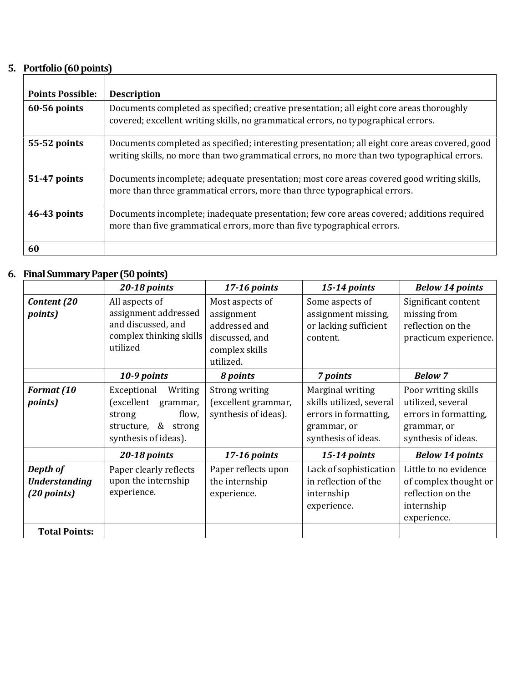# **5. Portfolio (60 points)**

| <b>Points Possible:</b> | <b>Description</b>                                                                                                                                                                            |
|-------------------------|-----------------------------------------------------------------------------------------------------------------------------------------------------------------------------------------------|
| 60-56 points            | Documents completed as specified; creative presentation; all eight core areas thoroughly<br>covered; excellent writing skills, no grammatical errors, no typographical errors.                |
| 55-52 points            | Documents completed as specified; interesting presentation; all eight core areas covered, good<br>writing skills, no more than two grammatical errors, no more than two typographical errors. |
| 51-47 points            | Documents incomplete; adequate presentation; most core areas covered good writing skills,<br>more than three grammatical errors, more than three typographical errors.                        |
| 46-43 points            | Documents incomplete; inadequate presentation; few core areas covered; additions required<br>more than five grammatical errors, more than five typographical errors.                          |
| 60                      |                                                                                                                                                                                               |

#### **6. Final Summary Paper (50 points)**

|                                                 | 20-18 points                                                                                                             | 17-16 points                                                                                    | 15-14 points                                                                                                | <b>Below 14 points</b>                                                                                  |
|-------------------------------------------------|--------------------------------------------------------------------------------------------------------------------------|-------------------------------------------------------------------------------------------------|-------------------------------------------------------------------------------------------------------------|---------------------------------------------------------------------------------------------------------|
| Content (20<br><i>points</i> )                  | All aspects of<br>assignment addressed<br>and discussed, and<br>complex thinking skills<br>utilized                      | Most aspects of<br>assignment<br>addressed and<br>discussed, and<br>complex skills<br>utilized. | Some aspects of<br>assignment missing,<br>or lacking sufficient<br>content.                                 | Significant content<br>missing from<br>reflection on the<br>practicum experience.                       |
|                                                 | 10-9 points                                                                                                              | 8 points                                                                                        | 7 points                                                                                                    | <b>Below 7</b>                                                                                          |
| <b>Format</b> (10<br><i>points</i> )            | Writing<br>Exceptional<br>(excellent<br>grammar,<br>flow,<br>strong<br>&<br>structure,<br>strong<br>synthesis of ideas). | Strong writing<br>(excellent grammar,<br>synthesis of ideas).                                   | Marginal writing<br>skills utilized, several<br>errors in formatting,<br>grammar, or<br>synthesis of ideas. | Poor writing skills<br>utilized, several<br>errors in formatting,<br>grammar, or<br>synthesis of ideas. |
|                                                 | 20-18 points                                                                                                             | 17-16 points                                                                                    | $15-14$ points                                                                                              | <b>Below 14 points</b>                                                                                  |
| Depth of<br><b>Understanding</b><br>(20 points) | Paper clearly reflects<br>upon the internship<br>experience.                                                             | Paper reflects upon<br>the internship<br>experience.                                            | Lack of sophistication<br>in reflection of the<br>internship<br>experience.                                 | Little to no evidence<br>of complex thought or<br>reflection on the<br>internship<br>experience.        |
| <b>Total Points:</b>                            |                                                                                                                          |                                                                                                 |                                                                                                             |                                                                                                         |